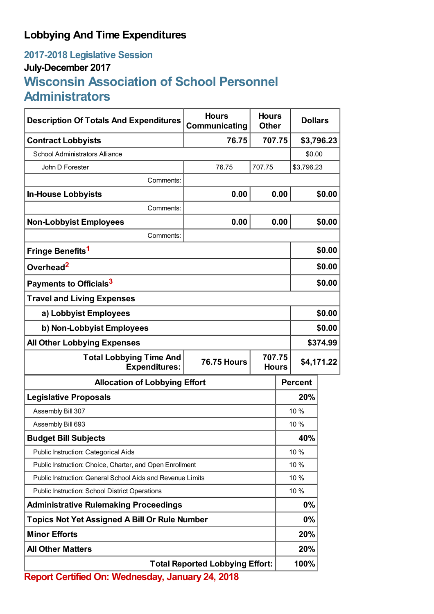## **Lobbying And Time Expenditures**

## **2017-2018 Legislative Session July-December 2017 Wisconsin Association of School Personnel Administrators**

| <b>Description Of Totals And Expenditures</b>                                | <b>Hours</b><br>Communicating                     | <b>Hours</b><br><b>Other</b> | <b>Dollars</b> |            |  |
|------------------------------------------------------------------------------|---------------------------------------------------|------------------------------|----------------|------------|--|
| <b>Contract Lobbyists</b>                                                    | 76.75                                             | 707.75                       |                | \$3,796.23 |  |
| <b>School Administrators Alliance</b>                                        |                                                   |                              | \$0.00         |            |  |
| John D Forester                                                              | 76.75                                             | 707.75                       | \$3,796.23     |            |  |
| Comments:                                                                    |                                                   |                              |                |            |  |
| <b>In-House Lobbyists</b>                                                    | 0.00                                              | 0.00                         |                | \$0.00     |  |
| Comments:                                                                    |                                                   |                              |                |            |  |
| <b>Non-Lobbyist Employees</b>                                                | 0.00                                              | 0.00                         |                | \$0.00     |  |
| Comments:                                                                    |                                                   |                              |                |            |  |
| Fringe Benefits <sup>1</sup>                                                 |                                                   |                              |                | \$0.00     |  |
| Overhead <sup>2</sup>                                                        |                                                   |                              |                | \$0.00     |  |
| Payments to Officials <sup>3</sup>                                           |                                                   |                              |                | \$0.00     |  |
| <b>Travel and Living Expenses</b>                                            |                                                   |                              |                |            |  |
| a) Lobbyist Employees                                                        |                                                   |                              |                | \$0.00     |  |
| b) Non-Lobbyist Employees                                                    |                                                   |                              |                | \$0.00     |  |
| <b>All Other Lobbying Expenses</b>                                           |                                                   |                              |                | \$374.99   |  |
| <b>Total Lobbying Time And</b><br><b>76.75 Hours</b><br><b>Expenditures:</b> |                                                   | 707.75<br><b>Hours</b>       |                | \$4,171.22 |  |
| <b>Allocation of Lobbying Effort</b>                                         |                                                   |                              | <b>Percent</b> |            |  |
| <b>Legislative Proposals</b>                                                 |                                                   |                              | 20%            |            |  |
| Assembly Bill 307                                                            |                                                   |                              | 10 %           |            |  |
| Assembly Bill 693                                                            |                                                   |                              | 10 %           |            |  |
| <b>Budget Bill Subjects</b>                                                  |                                                   |                              | 40%            |            |  |
| Public Instruction: Categorical Aids                                         |                                                   |                              | 10 %           |            |  |
| Public Instruction: Choice, Charter, and Open Enrollment                     |                                                   |                              | 10 %           |            |  |
| Public Instruction: General School Aids and Revenue Limits                   |                                                   |                              | 10 %           |            |  |
| Public Instruction: School District Operations                               |                                                   |                              | 10 %           |            |  |
| <b>Administrative Rulemaking Proceedings</b>                                 |                                                   |                              | 0%             |            |  |
| <b>Topics Not Yet Assigned A Bill Or Rule Number</b>                         |                                                   |                              | 0%             |            |  |
| <b>Minor Efforts</b>                                                         |                                                   |                              | 20%            |            |  |
| <b>All Other Matters</b>                                                     |                                                   |                              | 20%            |            |  |
|                                                                              | <b>Total Reported Lobbying Effort:</b><br>24.2040 |                              | 100%           |            |  |

**Report Certified On: Wednesday, January 24, 2018**